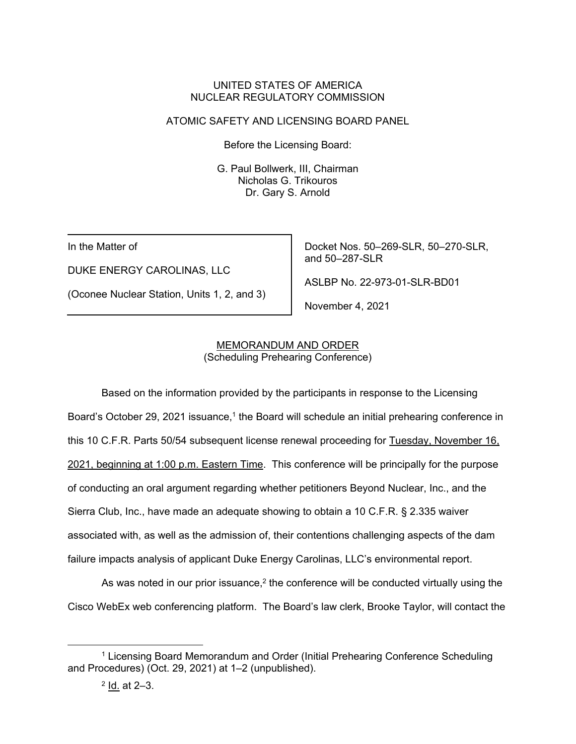#### UNITED STATES OF AMERICA NUCLEAR REGULATORY COMMISSION

## ATOMIC SAFETY AND LICENSING BOARD PANEL

Before the Licensing Board:

G. Paul Bollwerk, III, Chairman Nicholas G. Trikouros Dr. Gary S. Arnold

In the Matter of

DUKE ENERGY CAROLINAS, LLC

(Oconee Nuclear Station, Units 1, 2, and 3)

Docket Nos. 50–269-SLR, 50–270-SLR, and 50–287-SLR

ASLBP No. 22-973-01-SLR-BD01

November 4, 2021

### MEMORANDUM AND ORDER (Scheduling Prehearing Conference)

Based on the information provided by the participants in response to the Licensing Board's October 29, 2021 issuance,<sup>1</sup> the Board will schedule an initial prehearing conference in this 10 C.F.R. Parts 50/54 subsequent license renewal proceeding for Tuesday, November 16, 2021, beginning at 1:00 p.m. Eastern Time. This conference will be principally for the purpose of conducting an oral argument regarding whether petitioners Beyond Nuclear, Inc., and the Sierra Club, Inc., have made an adequate showing to obtain a 10 C.F.R. § 2.335 waiver associated with, as well as the admission of, their contentions challenging aspects of the dam failure impacts analysis of applicant Duke Energy Carolinas, LLC's environmental report.

As was noted in our prior issuance,<sup>2</sup> the conference will be conducted virtually using the Cisco WebEx web conferencing platform. The Board's law clerk, Brooke Taylor, will contact the

<sup>&</sup>lt;sup>1</sup> Licensing Board Memorandum and Order (Initial Prehearing Conference Scheduling and Procedures) (Oct. 29, 2021) at 1–2 (unpublished).

<sup>2</sup> Id. at 2–3.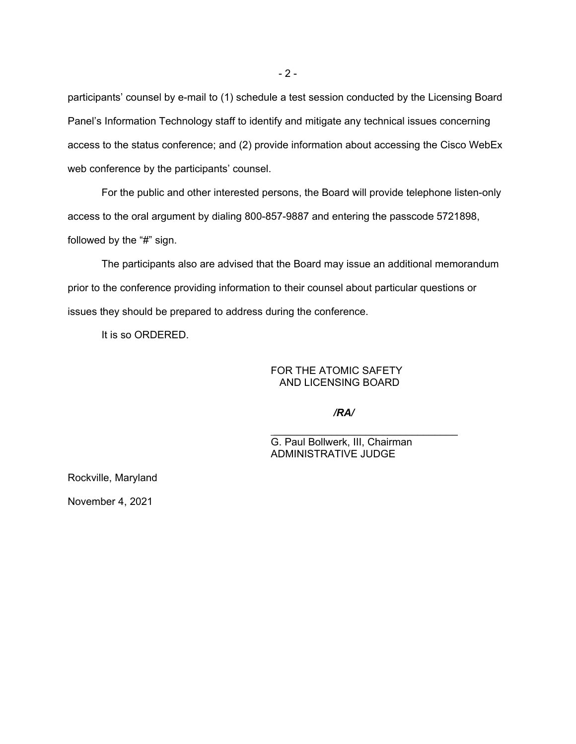participants' counsel by e-mail to (1) schedule a test session conducted by the Licensing Board Panel's Information Technology staff to identify and mitigate any technical issues concerning access to the status conference; and (2) provide information about accessing the Cisco WebEx web conference by the participants' counsel.

For the public and other interested persons, the Board will provide telephone listen-only access to the oral argument by dialing 800-857-9887 and entering the passcode 5721898, followed by the "#" sign.

The participants also are advised that the Board may issue an additional memorandum prior to the conference providing information to their counsel about particular questions or issues they should be prepared to address during the conference.

It is so ORDERED.

FOR THE ATOMIC SAFETY AND LICENSING BOARD

*/RA/*

 $\mathcal{L}_\text{max}$  and  $\mathcal{L}_\text{max}$  and  $\mathcal{L}_\text{max}$  and  $\mathcal{L}_\text{max}$ 

G. Paul Bollwerk, III, Chairman ADMINISTRATIVE JUDGE

Rockville, Maryland

November 4, 2021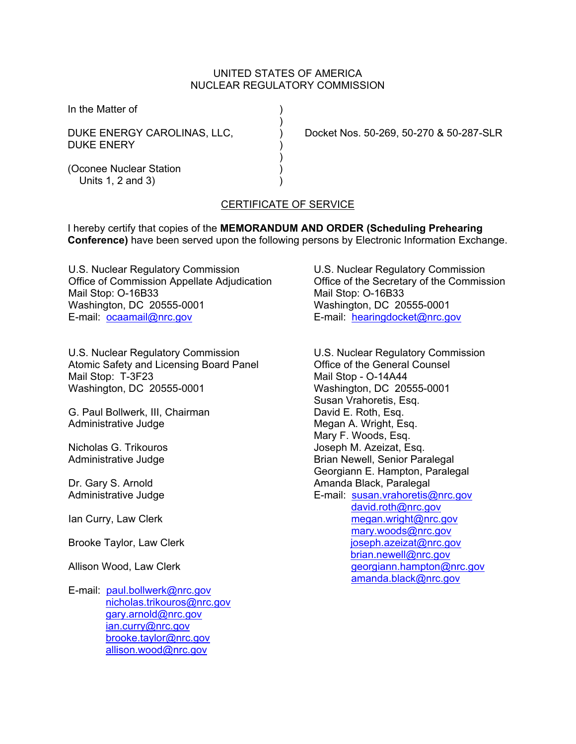#### UNITED STATES OF AMERICA NUCLEAR REGULATORY COMMISSION

In the Matter of )

DUKE ENERY

 $)$ 

 $)$ 

DUKE ENERGY CAROLINAS, LLC, ) Docket Nos. 50-269, 50-270 & 50-287-SLR

(Oconee Nuclear Station ) Units 1, 2 and 3)

# CERTIFICATE OF SERVICE

I hereby certify that copies of the **MEMORANDUM AND ORDER (Scheduling Prehearing Conference)** have been served upon the following persons by Electronic Information Exchange.

U.S. Nuclear Regulatory Commission Office of Commission Appellate Adjudication Mail Stop: O-16B33 Washington, DC 20555-0001 E-mail: ocaamail@nrc.gov

U.S. Nuclear Regulatory Commission Atomic Safety and Licensing Board Panel Mail Stop: T-3F23 Washington, DC 20555-0001

G. Paul Bollwerk, III, Chairman Administrative Judge

Nicholas G. Trikouros Administrative Judge

Dr. Gary S. Arnold Administrative Judge

Ian Curry, Law Clerk

Brooke Taylor, Law Clerk

Allison Wood, Law Clerk

E-mail: paul.bollwerk@nrc.gov nicholas.trikouros@nrc.gov gary.arnold@nrc.gov ian.curry@nrc.gov brooke.taylor@nrc.gov allison.wood@nrc.gov

U.S. Nuclear Regulatory Commission Office of the Secretary of the Commission Mail Stop: O-16B33 Washington, DC 20555-0001 E-mail: hearingdocket@nrc.gov

U.S. Nuclear Regulatory Commission Office of the General Counsel Mail Stop - O-14A44 Washington, DC 20555-0001 Susan Vrahoretis, Esq. David E. Roth, Esq. Megan A. Wright, Esq. Mary F. Woods, Esq. Joseph M. Azeizat, Esq. Brian Newell, Senior Paralegal Georgiann E. Hampton, Paralegal Amanda Black, Paralegal E-mail: susan.vrahoretis@nrc.gov david.roth@nrc.gov megan.wright@nrc.gov mary.woods@nrc.gov joseph.azeizat@nrc.gov brian.newell@nrc.gov georgiann.hampton@nrc.gov amanda.black@nrc.gov